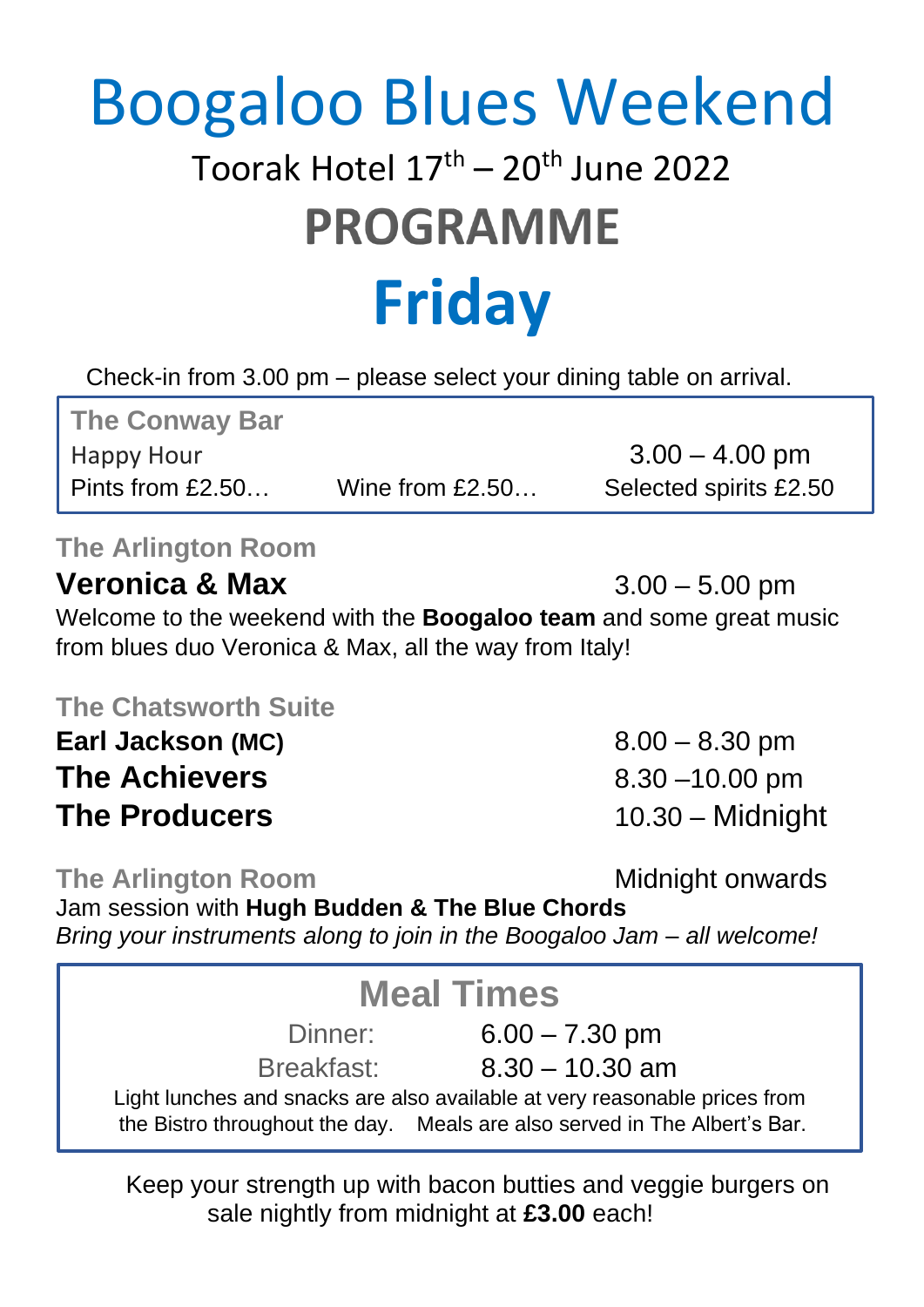# Boogaloo Blues Weekend

# Toorak Hotel 17<sup>th</sup> – 20<sup>th</sup> June 2022 **PROGRAMME**

# **Friday**

Check-in from 3.00 pm – please select your dining table on arrival.

**The Conway Bar** Happy Hour  $3.00 - 4.00$  pm Pints from £2.50… Wine from £2.50… Selected spirits £2.50

### **The Arlington Room**

### **Veronica & Max** 3.00 – 5.00 pm

Welcome to the weekend with the **Boogaloo team** and some great music from blues duo Veronica & Max, all the way from Italy!

#### **The Chatsworth Suite**

**Earl Jackson (MC)** 8.00 – 8.30 pm **The Achievers** 8.30 –10.00 pm **The Producers** 10.30 – Midnight

**The Arlington Room Midnight onwards** 

Jam session with **Hugh Budden & The Blue Chords** *Bring your instruments along to join in the Boogaloo Jam – all welcome!*

## **Meal Times** Dinner: 6.00 – 7.30 pm

Breakfast: 8.30 – 10.30 am

Light lunches and snacks are also available at very reasonable prices from the Bistro throughout the day. Meals are also served in The Albert's Bar.

Keep your strength up with bacon butties and veggie burgers on sale nightly from midnight at **£3.00** each!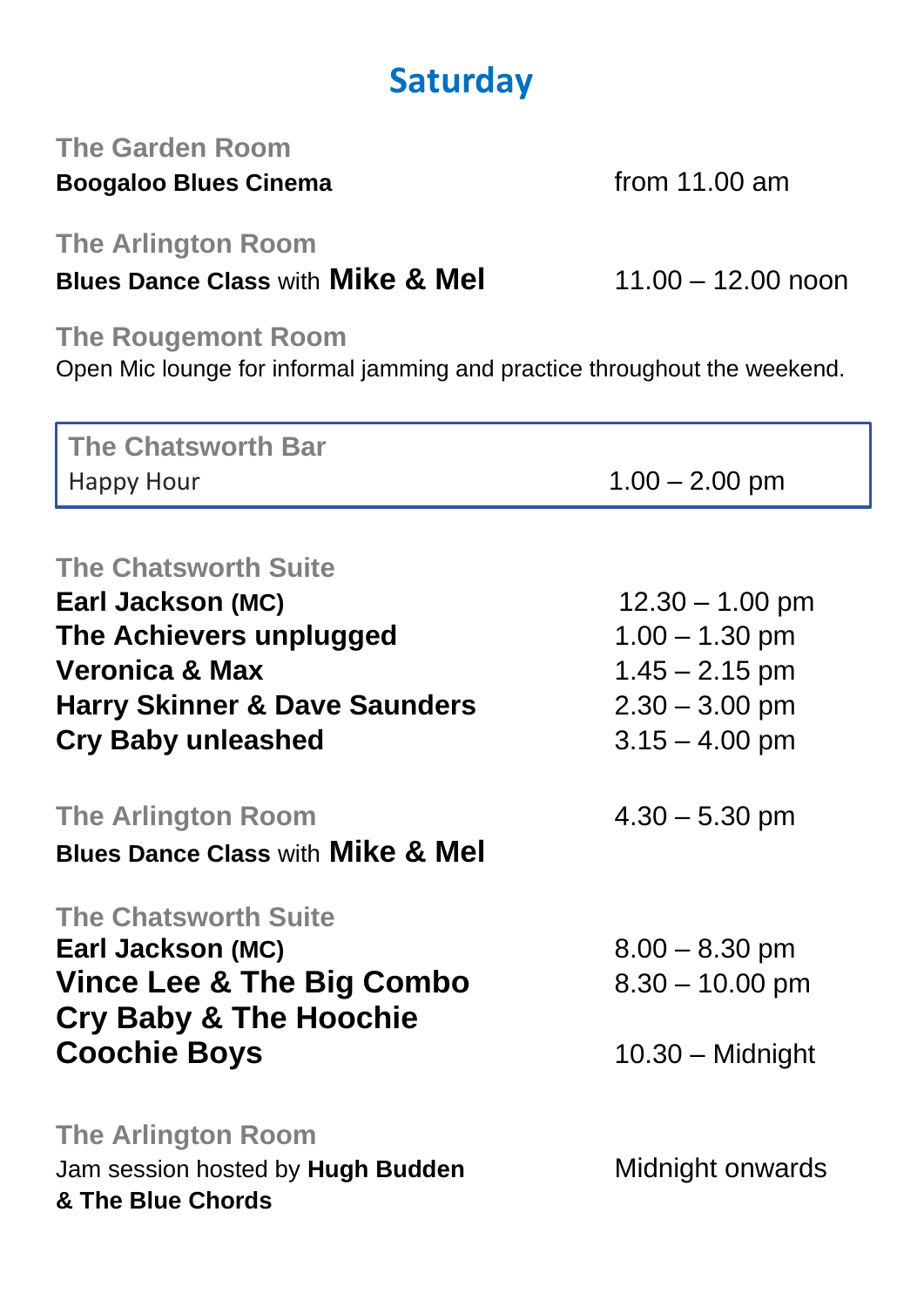## **Saturday**

#### **The Garden Room Boogaloo Blues Cinema** *from* **11.00 am**

**The Arlington Room** 

**Blues Dance Class** with **Mike & Mel** 11.00 – 12.00 noon

**The Rougemont Room**

Open Mic lounge for informal jamming and practice throughout the weekend.

| <b>The Chatsworth Bar</b>                                                 |                    |
|---------------------------------------------------------------------------|--------------------|
| <b>Happy Hour</b>                                                         | $1.00 - 2.00$ pm   |
|                                                                           |                    |
| <b>The Chatsworth Suite</b>                                               |                    |
| Earl Jackson (MC)                                                         | $12.30 - 1.00$ pm  |
| The Achievers unplugged                                                   | $1.00 - 1.30$ pm   |
| <b>Veronica &amp; Max</b>                                                 | $1.45 - 2.15$ pm   |
| <b>Harry Skinner &amp; Dave Saunders</b>                                  | $2.30 - 3.00$ pm   |
| <b>Cry Baby unleashed</b>                                                 | $3.15 - 4.00$ pm   |
|                                                                           |                    |
| <b>The Arlington Room</b><br><b>Blues Dance Class with Mike &amp; Mel</b> | $4.30 - 5.30$ pm   |
|                                                                           |                    |
| <b>The Chatsworth Suite</b>                                               |                    |
| Earl Jackson (MC)                                                         | $8.00 - 8.30$ pm   |
| <b>Vince Lee &amp; The Big Combo</b>                                      | $8.30 - 10.00$ pm  |
| <b>Cry Baby &amp; The Hoochie</b>                                         |                    |
| <b>Coochie Boys</b>                                                       | $10.30 -$ Midnight |
|                                                                           |                    |
| <b>The Arlington Room</b>                                                 |                    |
| Jam session hosted by Hugh Budden<br>& The Blue Chords                    | Midnight onwards   |
|                                                                           |                    |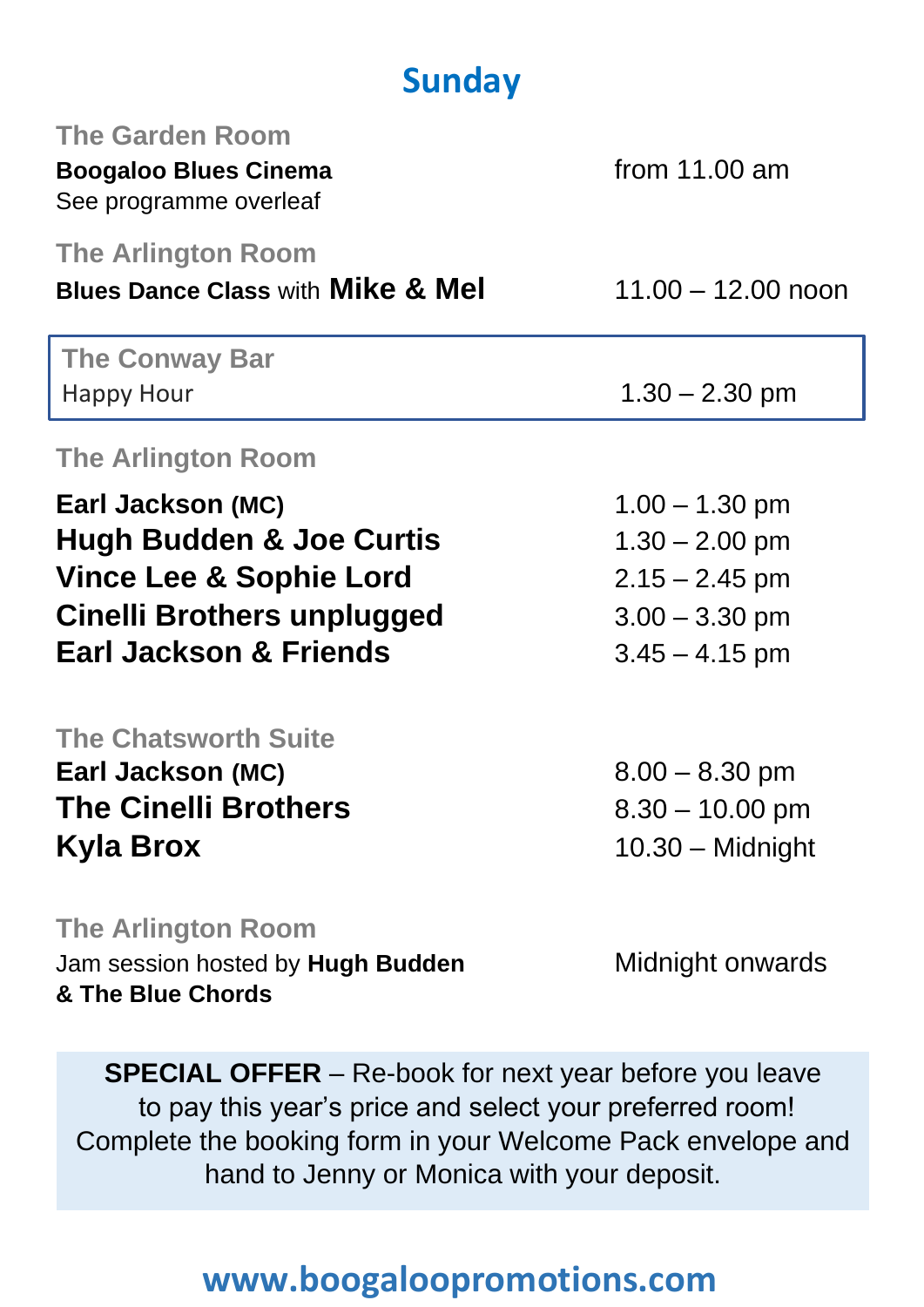# **Sunday**

| <b>The Garden Room</b><br><b>Boogaloo Blues Cinema</b><br>See programme overleaf    | from $11.00$ am      |
|-------------------------------------------------------------------------------------|----------------------|
| <b>The Arlington Room</b><br><b>Blues Dance Class with Mike &amp; Mel</b>           | $11.00 - 12.00$ noon |
| <b>The Conway Bar</b><br><b>Happy Hour</b>                                          | $1.30 - 2.30$ pm     |
| <b>The Arlington Room</b>                                                           |                      |
| Earl Jackson (MC)                                                                   | $1.00 - 1.30$ pm     |
| <b>Hugh Budden &amp; Joe Curtis</b>                                                 | $1.30 - 2.00$ pm     |
| <b>Vince Lee &amp; Sophie Lord</b>                                                  | $2.15 - 2.45$ pm     |
| Cinelli Brothers unplugged                                                          | $3.00 - 3.30$ pm     |
| <b>Earl Jackson &amp; Friends</b>                                                   | $3.45 - 4.15$ pm     |
| <b>The Chatsworth Suite</b>                                                         |                      |
| Earl Jackson (MC)                                                                   | $8.00 - 8.30$ pm     |
| <b>The Cinelli Brothers</b>                                                         | $8.30 - 10.00$ pm    |
| Kyla Brox                                                                           | $10.30 -$ Midnight   |
| <b>The Arlington Room</b><br>Jam session hosted by Hugh Budden<br>& The Blue Chords | Midnight onwards     |

**SPECIAL OFFER** – Re-book for next year before you leave to pay this year's price and select your preferred room! Complete the booking form in your Welcome Pack envelope and hand to Jenny or Monica with your deposit.

## **www.boogaloopromotions.com**